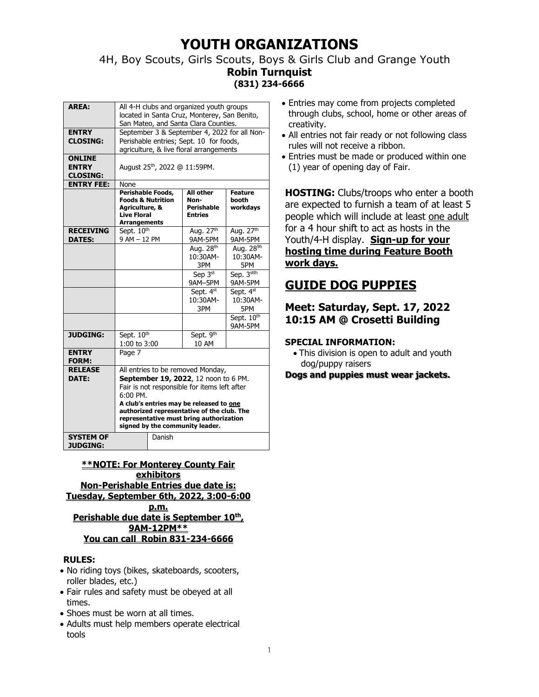## 4H, Boy Scouts, Girls Scouts, Boys & Girls Club and Grange Youth **Robin Turnquist (831) 234-6666**

| <b>AREA:</b>      | All 4-H clubs and organized youth groups                                   |                       |                        |
|-------------------|----------------------------------------------------------------------------|-----------------------|------------------------|
|                   | located in Santa Cruz, Monterey, San Benito,                               |                       |                        |
|                   | San Mateo, and Santa Clara Counties.                                       |                       |                        |
| <b>ENTRY</b>      | September 3 & September 4, 2022 for all Non-                               |                       |                        |
| <b>CLOSING:</b>   | Perishable entries; Sept. 10 for foods,                                    |                       |                        |
|                   | agriculture, & live floral arrangements                                    |                       |                        |
| <b>ONLINE</b>     |                                                                            |                       |                        |
| <b>ENTRY</b>      | August 25 <sup>th</sup> , 2022 @ 11:59PM.                                  |                       |                        |
| <b>CLOSING:</b>   |                                                                            |                       |                        |
| <b>ENTRY FEE:</b> | None                                                                       |                       |                        |
|                   | Perishable Foods,                                                          | All other             | <b>Feature</b>         |
|                   | <b>Foods &amp; Nutrition</b>                                               | Non-                  | booth                  |
|                   | Agriculture, &                                                             | <b>Perishable</b>     | workdays               |
|                   | <b>Live Floral</b>                                                         | <b>Entries</b>        |                        |
|                   | <b>Arrangements</b>                                                        |                       |                        |
| <b>RECEIVING</b>  | Sept. 10th<br>9 AM - 12 PM                                                 | Aug. 27th             | Aug. 27 <sup>th</sup>  |
| <b>DATES:</b>     |                                                                            | 9AM-5PM               | 9AM-5PM                |
|                   |                                                                            | Aug. 28 <sup>th</sup> | Aug. 28 <sup>9h</sup>  |
|                   |                                                                            | 10:30AM-              | 10:30AM-               |
|                   |                                                                            | 3PM                   | 5PM                    |
|                   |                                                                            | Sep $3st$             | Sep. 3stth             |
|                   |                                                                            | 9AM-5PM               | 9AM-5PM                |
|                   |                                                                            | Sept. 4st             | Sept. 4 <sup>st</sup>  |
|                   |                                                                            | 10:30AM-              | 10:30AM-               |
|                   |                                                                            | 3PM                   | 5PM                    |
|                   |                                                                            |                       | Sept. 10 <sup>th</sup> |
|                   |                                                                            |                       | 9AM-5PM                |
| <b>JUDGING:</b>   | Sept. 10 <sup>th</sup>                                                     | Sept. 9th             |                        |
|                   | 1:00 to 3:00                                                               | 10 AM                 |                        |
| <b>ENTRY</b>      | Page 7                                                                     |                       |                        |
| <b>FORM:</b>      |                                                                            |                       |                        |
| <b>RELEASE</b>    | All entries to be removed Monday,                                          |                       |                        |
| DATE:             | September 19, 2022, 12 noon to 6 PM.                                       |                       |                        |
|                   | Fair is not responsible for items left after                               |                       |                        |
|                   | $6:00$ PM.                                                                 |                       |                        |
|                   | A club's entries may be released to one                                    |                       |                        |
|                   | authorized representative of the club. The                                 |                       |                        |
|                   | representative must bring authorization<br>signed by the community leader. |                       |                        |
|                   |                                                                            |                       |                        |
| <b>SYSTEM OF</b>  | Danish                                                                     |                       |                        |
| <b>JUDGING:</b>   |                                                                            |                       |                        |

**\*\*NOTE: For Monterey County Fair exhibitors Non-Perishable Entries due date is: Tuesday, September 6th, 2022, 3:00-6:00 p.m. Perishable due date is September 10 th , 9AM-12PM\*\* You can call Robin 831-234-6666**

## **RULES:**

- No riding toys (bikes, skateboards, scooters, roller blades, etc.)
- Fair rules and safety must be obeyed at all times.
- Shoes must be worn at all times.
- Adults must help members operate electrical tools
- Entries may come from projects completed through clubs, school, home or other areas of creativity.
- All entries not fair ready or not following class rules will not receive a ribbon.
- Entries must be made or produced within one (1) year of opening day of Fair.

**HOSTING:** Clubs/troops who enter a booth are expected to furnish a team of at least 5 people which will include at least one adult for a 4 hour shift to act as hosts in the Youth/4-H display. **Sign-up for your hosting time during Feature Booth work days.**

# **GUIDE DOG PUPPIES**

## **Meet: Saturday, Sept. 17, 2022 10:15 AM @ Crosetti Building**

## **SPECIAL INFORMATION:**

• This division is open to adult and youth dog/puppy raisers

## **Dogs and puppies must wear jackets.**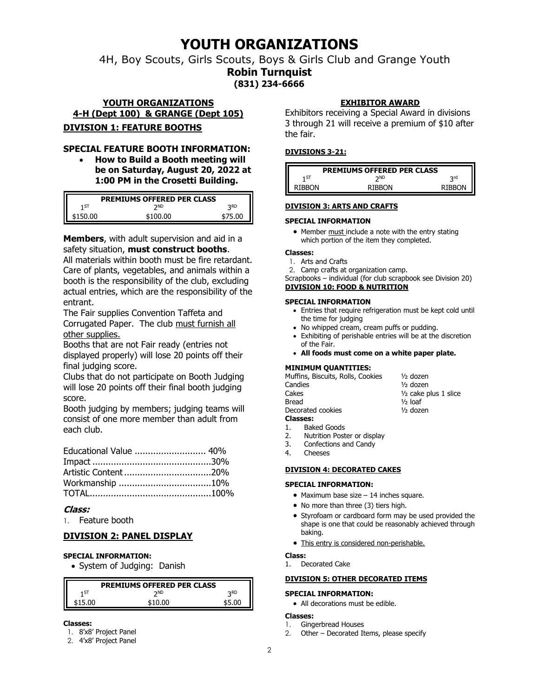4H, Boy Scouts, Girls Scouts, Boys & Girls Club and Grange Youth

**Robin Turnquist (831) 234-6666**

## **YOUTH ORGANIZATIONS 4-H (Dept 100) & GRANGE (Dept 105) DIVISION 1: FEATURE BOOTHS**

## **SPECIAL FEATURE BOOTH INFORMATION:**

• **How to Build a Booth meeting will be on Saturday, August 20, 2022 at 1:00 PM in the Crosetti Building.**

| <b>PREMIUMS OFFERED PER CLASS</b> |            |     |  |
|-----------------------------------|------------|-----|--|
| 1 ST                              | <b>DND</b> | つRD |  |
| 150.00                            | 100 00     |     |  |

**Members**, with adult supervision and aid in a safety situation, **must construct booths**.

All materials within booth must be fire retardant. Care of plants, vegetables, and animals within a booth is the responsibility of the club, excluding actual entries, which are the responsibility of the entrant.

The Fair supplies Convention Taffeta and Corrugated Paper. The club must furnish all other supplies.

Booths that are not Fair ready (entries not displayed properly) will lose 20 points off their final judging score.

Clubs that do not participate on Booth Judging will lose 20 points off their final booth judging score.

Booth judging by members; judging teams will consist of one more member than adult from each club.

| Educational Value  40% |  |
|------------------------|--|
|                        |  |
|                        |  |
|                        |  |
|                        |  |

## **Class:**

1. Feature booth

## **DIVISION 2: PANEL DISPLAY**

## **SPECIAL INFORMATION:**

• System of Judging: Danish

| <b>PREMIUMS OFFERED PER CLASS</b> |            |            |  |
|-----------------------------------|------------|------------|--|
| 1 ST                              | <b>DND</b> | <b>2RD</b> |  |
|                                   | \$10.00    | \$5.00     |  |

## **Classes:**

- 1. 8'x8' Project Panel
- 2. 4'x8' Project Panel

## **EXHIBITOR AWARD**

Exhibitors receiving a Special Award in divisions 3 through 21 will receive a premium of \$10 after the fair.

## **DIVISIONS 3-21:**

| <b>PREMIUMS OFFERED PER CLASS</b> |               |
|-----------------------------------|---------------|
| <b>DND</b>                        | لrd           |
| <b>RIBRON</b>                     | <b>RIBBON</b> |
|                                   |               |

## **DIVISION 3: ARTS AND CRAFTS**

## **SPECIAL INFORMATION**

• Member must include a note with the entry stating which portion of the item they completed.

### **Classes:**

- 1. Arts and Crafts
- 2. Camp crafts at organization camp.

Scrapbooks – individual (for club scrapbook see Division 20)

### **DIVISION 10: FOOD & NUTRITION**

## **SPECIAL INFORMATION**

- Entries that require refrigeration must be kept cold until the time for judging
- No whipped cream, cream puffs or pudding.
- Exhibiting of perishable entries will be at the discretion of the Fair.
- **All foods must come on a white paper plate.**

## **MINIMUM QUANTITIES:**

| Muffins, Biscuits, Rolls, Cookies | $1/2$ dozen             |
|-----------------------------------|-------------------------|
| Candies                           | $1/2$ dozen             |
| Cakes                             | $1/2$ cake plus 1 slice |
| Bread                             | $1/2$ loaf              |
| Decorated cookies                 | $1/2$ dozen             |
| <b>Classes:</b>                   |                         |
| 1. Baked Goods                    |                         |

- 2. Nutrition Poster or display
- 3. Confections and Candy
- 4. Cheeses

## **DIVISION 4: DECORATED CAKES**

### **SPECIAL INFORMATION:**

- Maximum base size 14 inches square.
- No more than three (3) tiers high.
- Styrofoam or cardboard form may be used provided the shape is one that could be reasonably achieved through baking.
- This entry is considered non-perishable.

### **Class:**

1. Decorated Cake

### **DIVISION 5: OTHER DECORATED ITEMS**

## **SPECIAL INFORMATION:**

• All decorations must be edible.

### **Classes:**

- 1. Gingerbread Houses
- 2. Other Decorated Items, please specify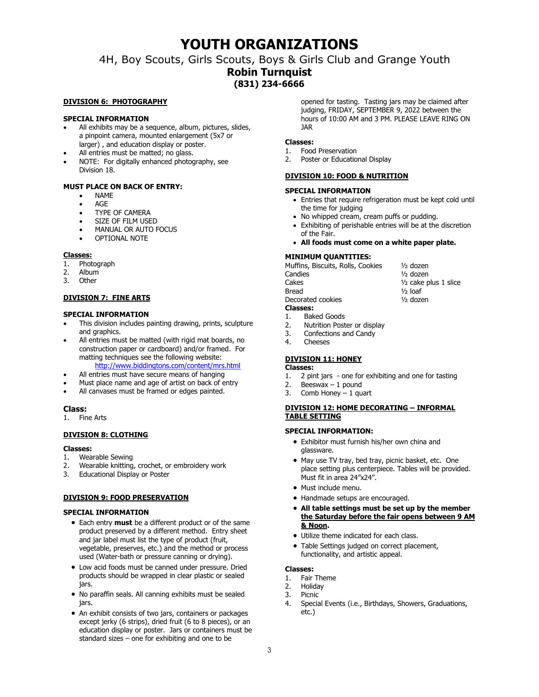## 4H, Boy Scouts, Girls Scouts, Boys & Girls Club and Grange Youth **Robin Turnquist (831) 234-6666**

#### **DIVISION 6: PHOTOGRAPHY**

#### **SPECIAL INFORMATION**

- All exhibits may be a sequence, album, pictures, slides, a pinpoint camera, mounted enlargement (5x7 or larger) , and education display or poster.
- All entries must be matted; no glass.
- NOTE: For digitally enhanced photography, see Division 18.

#### **MUST PLACE ON BACK OF ENTRY:**

- NAME
- AGE
- TYPE OF CAMERA
- SIZE OF FILM USED
- MANUAL OR AUTO FOCUS
- OPTIONAL NOTE

#### **Classes:**

- 1. Photograph
- 2. Album
- 3. Other

#### **DIVISION 7: FINE ARTS**

#### **SPECIAL INFORMATION**

- This division includes painting drawing, prints, sculpture and graphics.
- All entries must be matted (with rigid mat boards, no construction paper or cardboard) and/or framed. For matting techniques see the following website:
	- <http://www.biddingtons.com/content/mrs.html> All entries must have secure means of hanging
- 
- Must place name and age of artist on back of entry
- All canvases must be framed or edges painted.

#### **Class:**

1. Fine Arts

#### **DIVISION 8: CLOTHING**

#### **Classes:**

- 1. Wearable Sewing
- 2. Wearable knitting, crochet, or embroidery work
- 3. Educational Display or Poster

#### **DIVISION 9: FOOD PRESERVATION**

#### **SPECIAL INFORMATION**

- Each entry **must** be a different product or of the same product preserved by a different method. Entry sheet and jar label must list the type of product (fruit, vegetable, preserves, etc.) and the method or process used (Water-bath or pressure canning or drying).
- Low acid foods must be canned under pressure. Dried products should be wrapped in clear plastic or sealed jars.
- No paraffin seals. All canning exhibits must be sealed jars.
- An exhibit consists of two jars, containers or packages except jerky (6 strips), dried fruit (6 to 8 pieces), or an education display or poster. Jars or containers must be standard sizes – one for exhibiting and one to be

opened for tasting. Tasting jars may be claimed after judging, FRIDAY, SEPTEMBER 9, 2022 between the hours of 10:00 AM and 3 PM. PLEASE LEAVE RING ON JAR

#### **Classes:**

- 1. Food Preservation
- 2. Poster or Educational Display

#### **DIVISION 10: FOOD & NUTRITION**

#### **SPECIAL INFORMATION**

- Entries that require refrigeration must be kept cold until the time for judging
- No whipped cream, cream puffs or pudding.
- Exhibiting of perishable entries will be at the discretion of the Fair.
- **All foods must come on a white paper plate.**

#### **MINIMUM QUANTITIES:**

Muffins, Biscuits, Rolls, Cookies <sup>1/2</sup> dozen Candies ½ dozen Cakes <sup>1/2</sup> cake plus 1 slice

Bread  $\frac{1}{2}$  loaf

#### **Classes:**

- 1. Baked Goods
- 2. Nutrition Poster or display
- 3. Confections and Candy
- 4. Cheeses

#### **DIVISION 11: HONEY**

### **Classes:**

- 1. 2 pint jars one for exhibiting and one for tasting
- 2. Beeswax 1 pound
- 3. Comb Honey  $-1$  quart

#### **DIVISION 12: HOME DECORATING – INFORMAL TABLE SETTING**

#### **SPECIAL INFORMATION:**

- Exhibitor must furnish his/her own china and glassware.
- May use TV tray, bed tray, picnic basket, etc. One place setting plus centerpiece. Tables will be provided. Must fit in area 24"x24".
- Must include menu.
- Handmade setups are encouraged.
- **All table settings must be set up by the member the Saturday before the fair opens between 9 AM & Noon.**
- Utilize theme indicated for each class.
- Table Settings judged on correct placement, functionality, and artistic appeal.

#### **Classes:**

- 1. Fair Theme
- 2. Holiday
- 3. Picnic
- 4. Special Events (i.e., Birthdays, Showers, Graduations, etc.)
- 
- 

#### Decorated cookies  $\frac{1}{2}$  dozen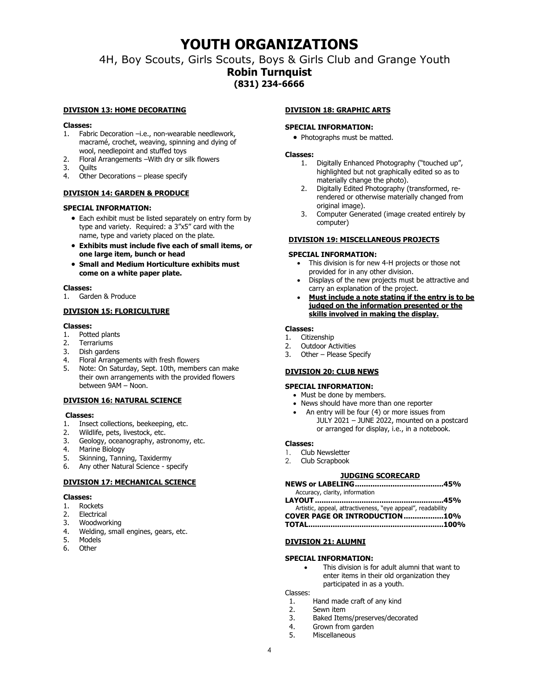4H, Boy Scouts, Girls Scouts, Boys & Girls Club and Grange Youth **Robin Turnquist (831) 234-6666**

#### **DIVISION 13: HOME DECORATING**

#### **Classes:**

- 1. Fabric Decoration –i.e., non-wearable needlework, macramé, crochet, weaving, spinning and dying of wool, needlepoint and stuffed toys
- 2. Floral Arrangements –With dry or silk flowers
- 3. Quilts
- 4. Other Decorations please specify

#### **DIVISION 14: GARDEN & PRODUCE**

#### **SPECIAL INFORMATION:**

- Each exhibit must be listed separately on entry form by type and variety. Required: a 3"x5" card with the name, type and variety placed on the plate.
- **Exhibits must include five each of small items, or one large item, bunch or head**
- **Small and Medium Horticulture exhibits must come on a white paper plate.**

#### **Classes:**

1. Garden & Produce

#### **DIVISION 15: FLORICULTURE**

#### **Classes:**

- 1. Potted plants
- 2. Terrariums
- 3. Dish gardens
- 4. Floral Arrangements with fresh flowers
- 5. Note: On Saturday, Sept. 10th, members can make their own arrangements with the provided flowers between 9AM – Noon.

#### **DIVISION 16: NATURAL SCIENCE**

#### **Classes:**

- 1. Insect collections, beekeeping, etc.
- 2. Wildlife, pets, livestock, etc.
- 3. Geology, oceanography, astronomy, etc.
- 4. Marine Biology
- 5. Skinning, Tanning, Taxidermy
- 6. Any other Natural Science specify

#### **DIVISION 17: MECHANICAL SCIENCE**

#### **Classes:**

- 1. Rockets
- 2. Electrical
- 3. Woodworking
- 4. Welding, small engines, gears, etc.
- 5. Models
- 6. Other

#### **DIVISION 18: GRAPHIC ARTS**

#### **SPECIAL INFORMATION:**

• Photographs must be matted.

#### **Classes:**

- 1. Digitally Enhanced Photography ("touched up", highlighted but not graphically edited so as to materially change the photo).
- 2. Digitally Edited Photography (transformed, rerendered or otherwise materially changed from original image).
- 3. Computer Generated (image created entirely by computer)

#### **DIVISION 19: MISCELLANEOUS PROJECTS**

#### **SPECIAL INFORMATION:**

- This division is for new 4-H projects or those not provided for in any other division.
- Displays of the new projects must be attractive and carry an explanation of the project.
- **Must include a note stating if the entry is to be judged on the information presented or the skills involved in making the display.**

#### **Classes:**

- 1. Citizenship
- 2. Outdoor Activities
- 3. Other Please Specify

#### **DIVISION 20: CLUB NEWS**

#### **SPECIAL INFORMATION:**

- Must be done by members.
- News should have more than one reporter
- An entry will be four (4) or more issues from JULY 2021 – JUNE 2022, mounted on a postcard or arranged for display, i.e., in a notebook.

#### **Classes:**

- 1. Club Newsletter
- 2. Club Scrapbook

#### **JUDGING SCORECARD**

| Accuracy, clarity, information                              |
|-------------------------------------------------------------|
|                                                             |
| Artistic, appeal, attractiveness, "eye appeal", readability |
| <b>COVER PAGE OR INTRODUCTION10%</b>                        |

| TOTAL……………………………………………………100% |  |
|-------------------------------|--|
|-------------------------------|--|

#### **DIVISION 21: ALUMNI**

#### **SPECIAL INFORMATION:**

This division is for adult alumni that want to enter items in their old organization they participated in as a youth.

## Classes:

- 1. Hand made craft of any kind
- 2. Sewn item
- 3. Baked Items/preserves/decorated
- 4. Grown from garden<br>5. Miscellaneous
- Miscellaneous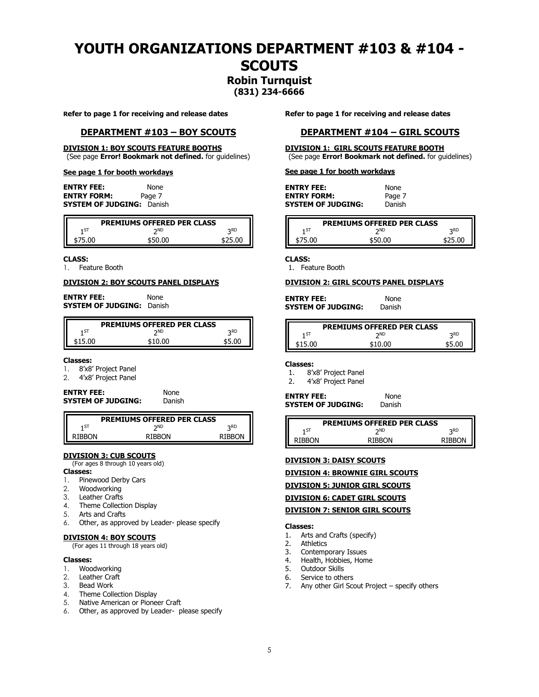# **YOUTH ORGANIZATIONS DEPARTMENT #103 & #104 - SCOUTS**

## **Robin Turnquist (831) 234-6666**

**Refer to page 1 for receiving and release dates**

#### **DEPARTMENT #103 – BOY SCOUTS**

## **DIVISION 1: BOY SCOUTS FEATURE BOOTHS**

(See page **Error! Bookmark not defined.** for guidelines)

#### **See page 1 for booth workdays**

**ENTRY FEE:** None **ENTRY FORM:** Page 7 **SYSTEM OF JUDGING:** Danish

|       | <b>PREMIUMS OFFERED PER CLASS</b> |            |
|-------|-----------------------------------|------------|
| 1 ST  | ND                                | <b>DRD</b> |
| 75.00 | \$50.00                           | \$25.00    |

#### **CLASS:**

1. Feature Booth

#### **DIVISION 2: BOY SCOUTS PANEL DISPLAYS**

**ENTRY FEE:** None **SYSTEM OF JUDGING:** Danish

| <b>PREMIUMS OFFERED PER CLASS</b> |    |            |
|-----------------------------------|----|------------|
| 1 ST                              | ND | <b>DRD</b> |
| 15.00                             |    | \$5.NN     |

#### **Classes:**

- 1. 8'x8' Project Panel
- 2. 4'x8' Project Panel

| <b>ENTRY FEE:</b>         | <b>None</b> |
|---------------------------|-------------|
| <b>SYSTEM OF JUDGING:</b> | Danish      |

| <b>PREMIUMS OFFERED PER CLASS</b> |        |        |
|-----------------------------------|--------|--------|
| 1 ST                              | אר     | っRD    |
| <b>RIBRON</b>                     | RIRRON | RIBRON |
|                                   |        |        |

### **DIVISION 3: CUB SCOUTS**

(For ages 8 through 10 years old) **Classes:**

- 
- 1. Pinewood Derby Cars<br>2. Woodworking Woodworking
- 3. Leather Crafts
- 4. Theme Collection Display
- 5. Arts and Crafts
- 6. Other, as approved by Leader- please specify

#### **DIVISION 4: BOY SCOUTS**

(For ages 11 through 18 years old)

#### **Classes:**

- 1. Woodworking
- 2. Leather Craft
- 3. Bead Work
- 4. Theme Collection Display
- 5. Native American or Pioneer Craft
- 6. Other, as approved by Leader- please specify

**Refer to page 1 for receiving and release dates**

#### **DEPARTMENT #104 – GIRL SCOUTS**

### **DIVISION 1: GIRL SCOUTS FEATURE BOOTH**

(See page **Error! Bookmark not defined.** for guidelines)

#### **See page 1 for booth workdays**

| <b>ENTRY FEE:</b>         | None   |
|---------------------------|--------|
| <b>ENTRY FORM:</b>        | Page 7 |
| <b>SYSTEM OF JUDGING:</b> | Danish |

| <b>PREMIUMS OFFERED PER CLASS</b> |         |            |  |
|-----------------------------------|---------|------------|--|
| 1 ST                              | ND      | <b>つRD</b> |  |
| 75.00                             | \$50.OC | \$25.00    |  |

#### **CLASS:**

1. Feature Booth

#### **DIVISION 2: GIRL SCOUTS PANEL DISPLAYS**

| <b>ENTRY FEE:</b>         | None   |
|---------------------------|--------|
| <b>SYSTEM OF JUDGING:</b> | Danish |

| <b>PREMIUMS OFFERED PER CLASS</b> |                |       |  |
|-----------------------------------|----------------|-------|--|
| 1 ST                              | つND            | つRD   |  |
| \$15.00                           | <b>\$10.00</b> | ≮5 በበ |  |

#### **Classes:**

- 1. 8'x8' Project Panel
- 2. 4'x8' Project Panel

| <b>ENTRY FEE:</b>  | None   |
|--------------------|--------|
| SYSTEM OF JUDGING: | Danish |

| PREMIUMS OFFERED PER CLASS |               |               |  |
|----------------------------|---------------|---------------|--|
| 1 ST                       | つND           | つRD           |  |
| <b>RIBBON</b>              | <b>RIBBON</b> | <b>RIBBON</b> |  |

**DIVISION 3: DAISY SCOUTS**

**DIVISION 4: BROWNIE GIRL SCOUTS**

#### **DIVISION 5: JUNIOR GIRL SCOUTS**

**DIVISION 6: CADET GIRL SCOUTS**

#### **DIVISION 7: SENIOR GIRL SCOUTS**

#### **Classes:**

- 1. Arts and Crafts (specify)
- 2. Athletics
- 3. Contemporary Issues<br>4 Health Hobbies Hom
- Health, Hobbies, Home
- 5. Outdoor Skills
- 6. Service to others
- 7. Any other Girl Scout Project specify others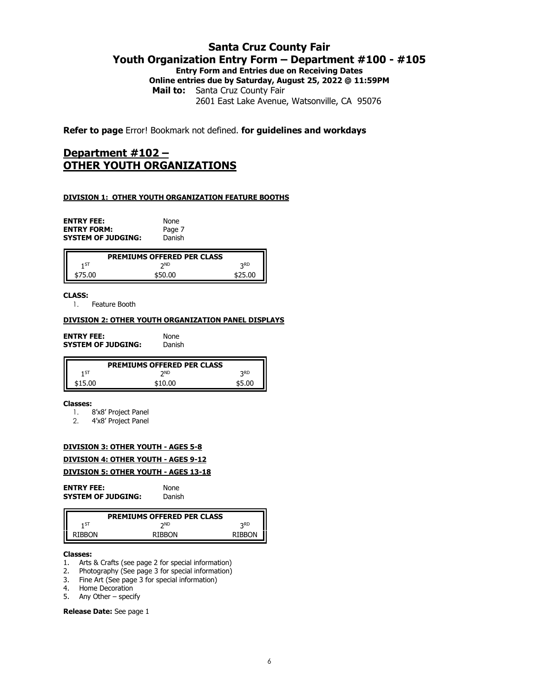## **Santa Cruz County Fair Youth Organization Entry Form – Department #100 - #105 Entry Form and Entries due on Receiving Dates Online entries due by Saturday, August 25, 2022 @ 11:59PM Mail to:** Santa Cruz County Fair

2601 East Lake Avenue, Watsonville, CA 95076

**Refer to page** Error! Bookmark not defined. **for guidelines and workdays**

## **Department #102 – OTHER YOUTH ORGANIZATIONS**

### **DIVISION 1: OTHER YOUTH ORGANIZATION FEATURE BOOTHS**

**ENTRY FEE:** None **ENTRY FORM:** Page 7<br>**SYSTEM OF JUDGING:** Danish **SYSTEM OF JUDGING:** 

|         | <b>PREMIUMS OFFERED PER CLASS</b> |            |
|---------|-----------------------------------|------------|
| 1 ST    | <b>DND</b>                        | <b>2RD</b> |
| \$75.00 | \$50.00                           | \$25.00    |

**CLASS:**

1. Feature Booth

## **DIVISION 2: OTHER YOUTH ORGANIZATION PANEL DISPLAYS**

**ENTRY FEE:** None<br> **SYSTEM OF JUDGING:** Danish **SYSTEM OF JUDGING:** 

|       | <b>PREMIUMS OFFERED PER CLASS</b> |     |
|-------|-----------------------------------|-----|
| ı ST  | ND                                | っRD |
| 15.00 | ≮10.00                            |     |

#### **Classes:**

- 1. 8'x8' Project Panel
- 2. 4'x8' Project Panel

## **DIVISION 3: OTHER YOUTH - AGES 5-8**

## **DIVISION 4: OTHER YOUTH - AGES 9-12**

#### **DIVISION 5: OTHER YOUTH - AGES 13-18**

| <b>ENTRY FEE:</b>         | None   |
|---------------------------|--------|
| <b>SYSTEM OF JUDGING:</b> | Danish |

|        | <b>PREMIUMS OFFERED PER CLASS</b> |            |
|--------|-----------------------------------|------------|
| 1ST    | <b>DND</b>                        | <b>2RD</b> |
| RIBBON | <b>RIBBON</b>                     | RIBRON     |

#### **Classes:**

- 1. Arts & Crafts (see page 2 for special information)
- 2. Photography (See page 3 for special information)
- 3. Fine Art (See page 3 for special information)
- 4. Home Decoration
- 5. Any Other specify

#### **Release Date:** See page 1